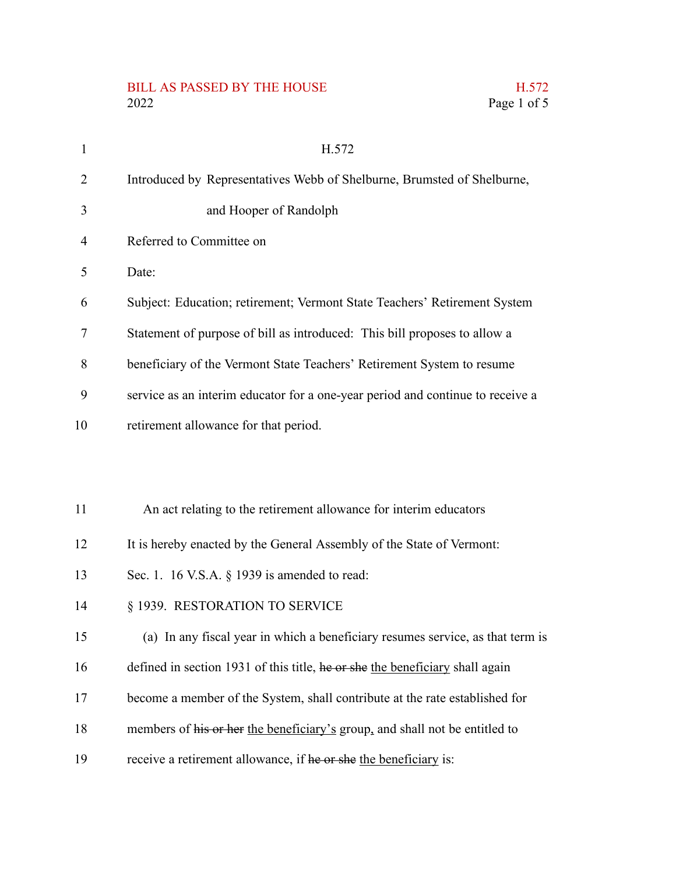## BILL AS PASSED BY THE HOUSE H.572 2022 Page 1 of 5

| $\mathbf{1}$ | H.572                                                                          |
|--------------|--------------------------------------------------------------------------------|
| 2            | Introduced by Representatives Webb of Shelburne, Brumsted of Shelburne,        |
| 3            | and Hooper of Randolph                                                         |
| 4            | Referred to Committee on                                                       |
| 5            | Date:                                                                          |
| 6            | Subject: Education; retirement; Vermont State Teachers' Retirement System      |
| 7            | Statement of purpose of bill as introduced: This bill proposes to allow a      |
| 8            | beneficiary of the Vermont State Teachers' Retirement System to resume         |
| 9            | service as an interim educator for a one-year period and continue to receive a |
| 10           | retirement allowance for that period.                                          |
|              |                                                                                |
|              |                                                                                |
| 11           | An act relating to the retirement allowance for interim educators              |
| 12           | It is hereby enacted by the General Assembly of the State of Vermont:          |
| 13           | Sec. 1. 16 V.S.A. $\S$ 1939 is amended to read:                                |
| 14           | § 1939. RESTORATION TO SERVICE                                                 |
| 15           | (a) In any fiscal year in which a beneficiary resumes service, as that term is |
| 16           | defined in section 1931 of this title, he or she the beneficiary shall again   |
| 17           | become a member of the System, shall contribute at the rate established for    |
| 18           | members of his or her the beneficiary's group, and shall not be entitled to    |

receive a retirement allowance, if he or she the beneficiary is: 19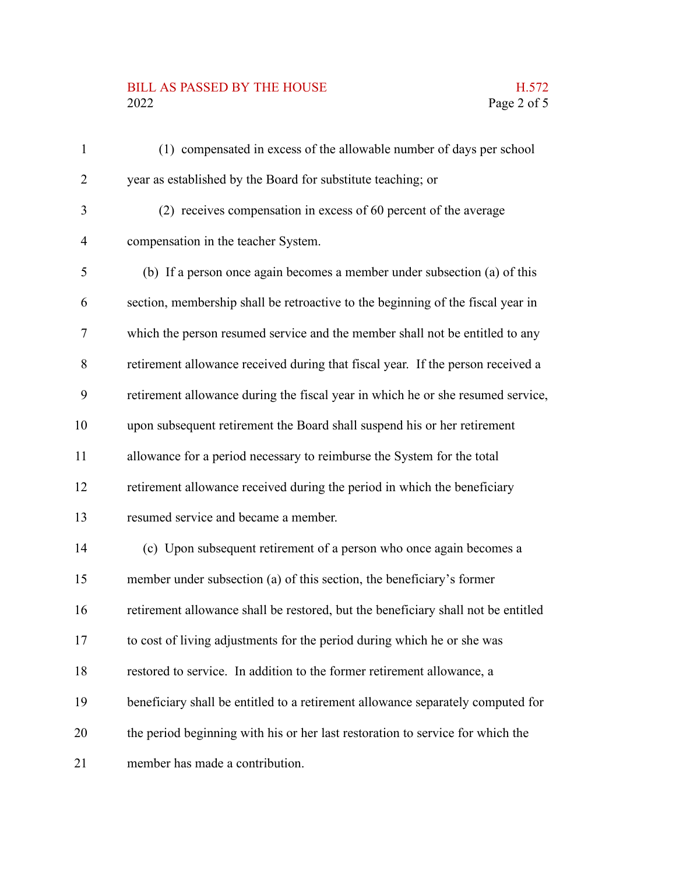## BILL AS PASSED BY THE HOUSE H.572<br>2022 Page 2 of 5

| $\mathbf{1}$   | (1) compensated in excess of the allowable number of days per school              |
|----------------|-----------------------------------------------------------------------------------|
| $\overline{2}$ | year as established by the Board for substitute teaching; or                      |
| 3              | (2) receives compensation in excess of 60 percent of the average                  |
| $\overline{4}$ | compensation in the teacher System.                                               |
| 5              | (b) If a person once again becomes a member under subsection (a) of this          |
| 6              | section, membership shall be retroactive to the beginning of the fiscal year in   |
| 7              | which the person resumed service and the member shall not be entitled to any      |
| 8              | retirement allowance received during that fiscal year. If the person received a   |
| 9              | retirement allowance during the fiscal year in which he or she resumed service,   |
| 10             | upon subsequent retirement the Board shall suspend his or her retirement          |
| 11             | allowance for a period necessary to reimburse the System for the total            |
| 12             | retirement allowance received during the period in which the beneficiary          |
| 13             | resumed service and became a member.                                              |
| 14             | (c) Upon subsequent retirement of a person who once again becomes a               |
| 15             | member under subsection (a) of this section, the beneficiary's former             |
| 16             | retirement allowance shall be restored, but the beneficiary shall not be entitled |
| 17             | to cost of living adjustments for the period during which he or she was           |
| 18             | restored to service. In addition to the former retirement allowance, a            |
| 19             | beneficiary shall be entitled to a retirement allowance separately computed for   |
| 20             | the period beginning with his or her last restoration to service for which the    |
| 21             | member has made a contribution.                                                   |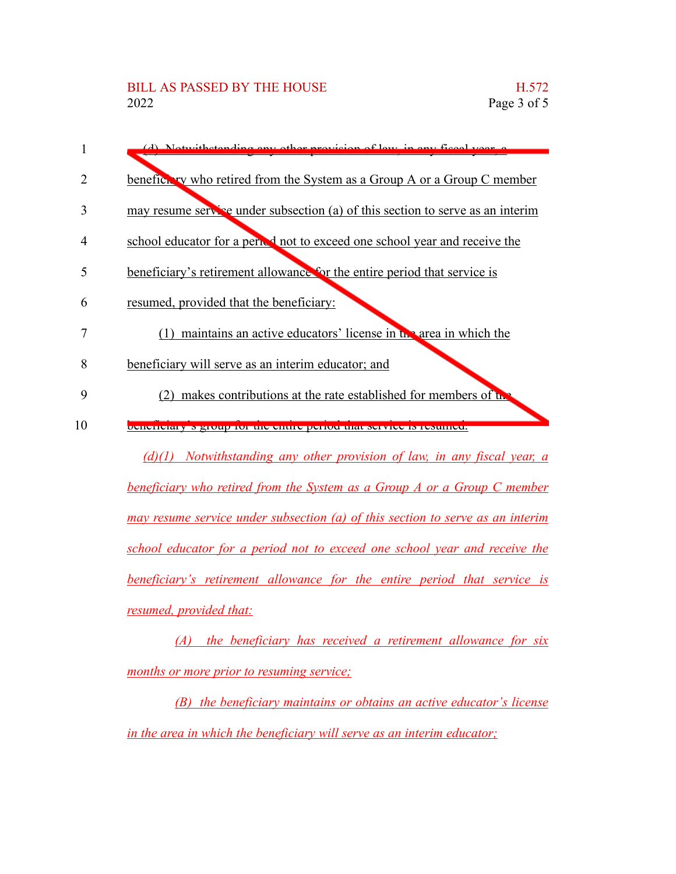| I  | (d) Notwithetending eny other provision of levy in eny figuel year, a           |
|----|---------------------------------------------------------------------------------|
| 2  | beneficity who retired from the System as a Group A or a Group C member         |
| 3  | may resume service under subsection (a) of this section to serve as an interim  |
| 4  | school educator for a period not to exceed one school year and receive the      |
| 5  | beneficiary's retirement allowance for the entire period that service is        |
| 6  | resumed, provided that the beneficiary:                                         |
| 7  | $(1)$ maintains an active educators' license in the area in which the           |
| 8  | beneficiary will serve as an interim educator; and                              |
| 9  | makes contributions at the rate established for members of the                  |
| 10 | <b>Denemiary Statute for the entire period that service is resulted.</b>        |
|    | $(d)(1)$ Notwithstanding any other provision of law, in any fiscal year, a      |
|    | <b>beneficiary who retired from the System as a Group A or a Group C member</b> |
|    |                                                                                 |

*may resume service under subsection (a) of this section to serve as an interim school educator for a period not to exceed one school year and receive the beneficiary's retirement allowance for the entire period that service is resumed, provided that:*

*(A) the beneficiary has received a retirement allowance for six months or more prior to resuming service;*

*(B) the beneficiary maintains or obtains an active educator's license in the area in which the beneficiary will serve as an interim educator;*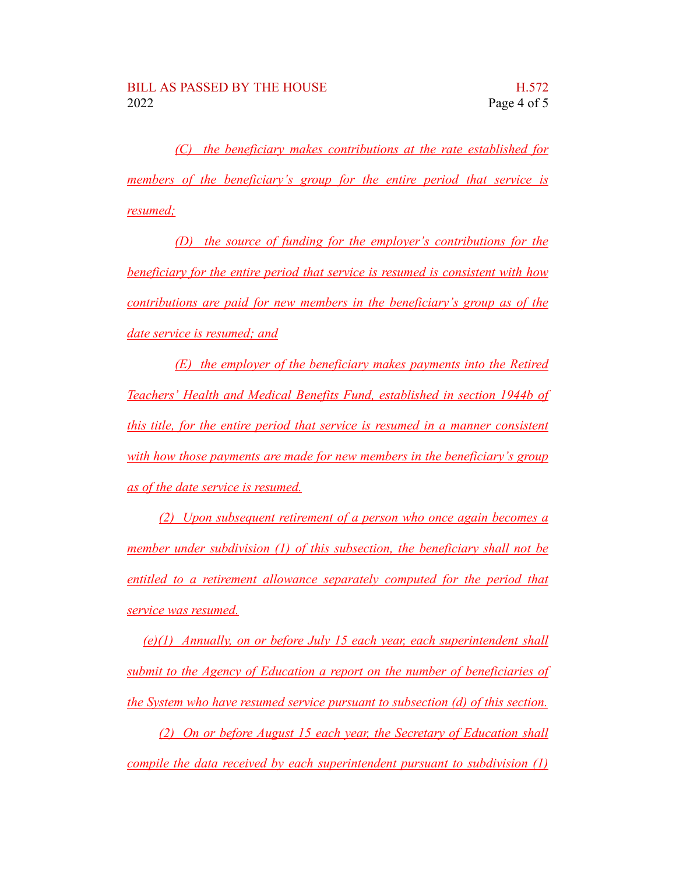*(C) the beneficiary makes contributions at the rate established for members of the beneficiary's group for the entire period that service is resumed;*

*(D) the source of funding for the employer's contributions for the beneficiary for the entire period that service is resumed is consistent with how contributions are paid for new members in the beneficiary's group as of the date service is resumed; and*

*(E) the employer of the beneficiary makes payments into the Retired Teachers' Health and Medical Benefits Fund, established in section 1944b of this title, for the entire period that service is resumed in a manner consistent with how those payments are made for new members in the beneficiary's group as of the date service is resumed.*

*(2) Upon subsequent retirement of a person who once again becomes a member under subdivision (1) of this subsection, the beneficiary shall not be entitled to a retirement allowance separately computed for the period that service was resumed.*

*(e)(1) Annually, on or before July 15 each year, each superintendent shall submit to the Agency of Education a report on the number of beneficiaries of the System who have resumed service pursuant to subsection (d) of this section.*

*(2) On or before August 15 each year, the Secretary of Education shall compile the data received by each superintendent pursuant to subdivision (1)*